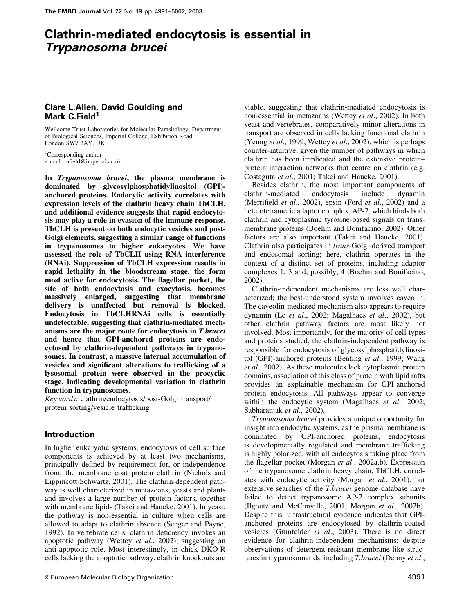# Clathrin-mediated endocytosis is essential in Trypanosoma brucei

# Clare L.Allen, David Goulding and Mark C.Field<sup>1</sup>

Wellcome Trust Laboratories for Molecular Parasitology, Department of Biological Sciences, Imperial College, Exhibition Road, London SW7 2AY, UK

<sup>1</sup>Corresponding author e-mail: mfield@imperial.ac.uk

In Trypanosoma brucei, the plasma membrane is dominated by glycosylphosphatidylinositol (GPI) anchored proteins. Endocytic activity correlates with expression levels of the clathrin heavy chain TbCLH, and additional evidence suggests that rapid endocytosis may play a role in evasion of the immune response. TbCLH is present on both endocytic vesicles and post-Golgi elements, suggesting a similar range of functions in trypanosomes to higher eukaryotes. We have assessed the role of TbCLH using RNA interference (RNAi). Suppression of TbCLH expression results in rapid lethality in the bloodstream stage, the form most active for endocytosis. The flagellar pocket, the site of both endocytosis and exocytosis, becomes massively enlarged, suggesting that membrane delivery is unaffected but removal is blocked. Endocytosis in TbCLHRNAi cells is essentially undetectable, suggesting that clathrin-mediated mechanisms are the major route for endocytosis in T.brucei and hence that GPI-anchored proteins are endocytosed by clathrin-dependent pathways in trypanosomes. In contrast, a massive internal accumulation of vesicles and significant alterations to trafficking of a lysosomal protein were observed in the procyclic stage, indicating developmental variation in clathrin function in trypanosomes.

Keywords: clathrin/endocytosis/post-Golgi transport/ protein sorting/vesicle trafficking

# Introduction

In higher eukaryotic systems, endocytosis of cell surface components is achieved by at least two mechanisms, principally defined by requirement for, or independence from, the membrane coat protein clathrin (Nichols and Lippincott-Schwartz, 2001). The clathrin-dependent pathway is well characterized in metazoans, yeasts and plants and involves a large number of protein factors, together with membrane lipids (Takei and Haucke, 2001). In yeast, the pathway is non-essential in culture when cells are allowed to adapt to clathrin absence (Seeger and Payne, 1992). In vertebrate cells, clathrin deficiency invokes an apoptotic pathway (Wettey et al., 2002), suggesting an anti-apoptotic role. Most interestingly, in chick DKO-R cells lacking the apoptotic pathway, clathrin knockouts are

viable, suggesting that clathrin-mediated endocytosis is non-essential in metazoans (Wettey et al., 2002). In both yeast and vertebrates, comparatively minor alterations in transport are observed in cells lacking functional clathrin (Yeung *et al.*, 1999; Wettey *et al.*, 2002), which is perhaps counter-intuitive, given the number of pathways in which clathrin has been implicated and the extensive proteinprotein interaction networks that centre on clathrin (e.g. Costaguta et al., 2001; Takei and Haucke, 2001).

Besides clathrin, the most important components of clathrin-mediated endocytosis include dynamin (Merrifield  $et$  al., 2002), epsin (Ford  $et$  al., 2002) and a heterotetrameric adaptor complex, AP-2, which binds both clathrin and cytoplasmic tyrosine-based signals on transmembrane proteins (Boehm and Bonifacino, 2002). Other factors are also important (Takei and Haucke, 2001). Clathrin also participates in trans-Golgi-derived transport and endosomal sorting; here, clathrin operates in the context of a distinct set of proteins, including adaptor complexes 1, 3 and, possibly, 4 (Boehm and Bonifacino, 2002).

Clathrin-independent mechanisms are less well characterized; the best-understood system involves caveolin. The caveolin-mediated mechanism also appears to require dynamin (Le et al., 2002; Magalhaes et al., 2002), but other clathrin pathway factors are most likely not involved. Most importantly, for the majority of cell types and proteins studied, the clathrin-independent pathway is responsible for endocytosis of glycosylphosphatidylinositol (GPI)-anchored proteins (Benting et al., 1999; Wang et al., 2002). As these molecules lack cytoplasmic protein domains, association of this class of protein with lipid rafts provides an explainable mechanism for GPI-anchored protein endocytosis. All pathways appear to converge within the endocytic system (Magalhaes et al., 2002; Sabharanjak et al., 2002).

Trypanosoma brucei provides a unique opportunity for insight into endocytic systems, as the plasma membrane is dominated by GPI-anchored proteins, endocytosis is developmentally regulated and membrane trafficking is highly polarized, with all endocytosis taking place from the flagellar pocket (Morgan et al., 2002a,b). Expression of the trypanosome clathrin heavy chain, TbCLH, correlates with endocytic activity (Morgan et al., 2001), but extensive searches of the T.brucei genome database have failed to detect trypanosome AP-2 complex subunits (Ilgoutz and McConville, 2001; Morgan et al., 2002b). Despite this, ultrastructural evidence indicates that GPIanchored proteins are endocytosed by clathrin-coated vesicles (Grunfelder et al., 2003). There is no direct evidence for clathrin-independent mechanisms; despite observations of detergent-resistant membrane-like structures in trypanosomatids, including T.brucei (Denny et al.,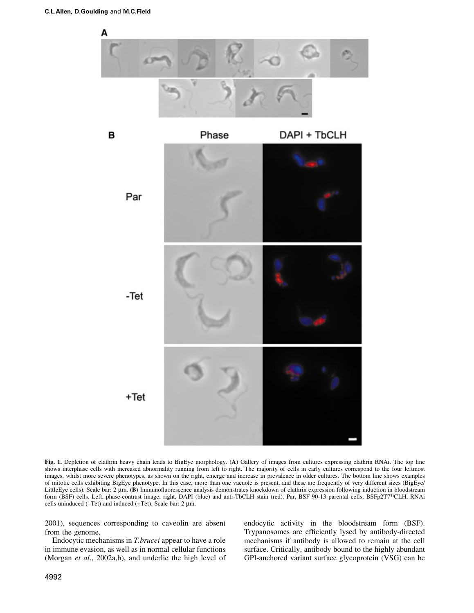

Fig. 1. Depletion of clathrin heavy chain leads to BigEye morphology. (A) Gallery of images from cultures expressing clathrin RNAi. The top line shows interphase cells with increased abnormality running from left to right. The majority of cells in early cultures correspond to the four leftmost images, whilst more severe phenotypes, as shown on the right, emerge and increase in prevalence in older cultures. The bottom line shows examples of mitotic cells exhibiting BigEye phenotype. In this case, more than one vacuole is present, and these are frequently of very different sizes (BigEye/ LittleEye cells). Scale bar: 2 µm. (B) Immunofluorescence analysis demonstrates knockdown of clathrin expression following induction in bloodstream form (BSF) cells. Left, phase-contrast image; right, DAPI (blue) and anti-TbCLH stain (red). Par, BSF 90-13 parental cells; BSFp2T7<sup>Ti</sup>CLH, RNAi cells uninduced ( $-Tet$ ) and induced ( $+Tet$ ). Scale bar: 2  $\mu$ m.

2001), sequences corresponding to caveolin are absent from the genome.

Endocytic mechanisms in T.brucei appear to have a role in immune evasion, as well as in normal cellular functions (Morgan *et al.*, 2002a,b), and underlie the high level of endocytic activity in the bloodstream form (BSF). Trypanosomes are efficiently lysed by antibody-directed mechanisms if antibody is allowed to remain at the cell surface. Critically, antibody bound to the highly abundant GPI-anchored variant surface glycoprotein (VSG) can be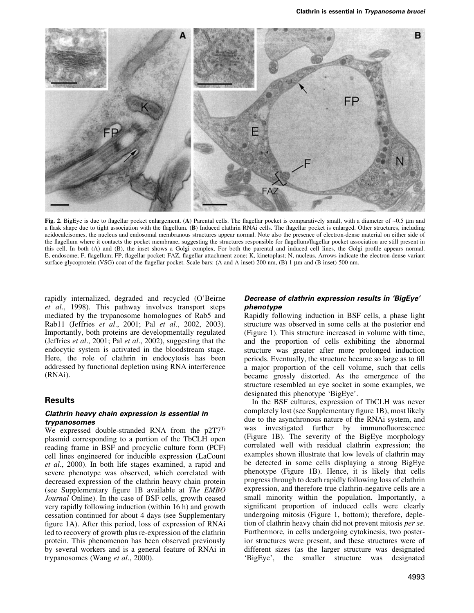

Fig. 2. BigEye is due to flagellar pocket enlargement. (A) Parental cells. The flagellar pocket is comparatively small, with a diameter of  $\sim 0.5$  µm and a flask shape due to tight association with the flagellum. (B) Induced clathrin RNAi cells. The flagellar pocket is enlarged. Other structures, including acidocalcisomes, the nucleus and endosomal membranous structures appear normal. Note also the presence of electron-dense material on either side of the flagellum where it contacts the pocket membrane, suggesting the structures responsible for flagellum/flagellar pocket association are still present in this cell. In both (A) and (B), the inset shows a Golgi complex. For both the parental and induced cell lines, the Golgi profile appears normal. E, endosome; F, flagellum; FP, flagellar pocket; FAZ, flagellar attachment zone; K, kinetoplast; N, nucleus. Arrows indicate the electron-dense variant surface glycoprotein (VSG) coat of the flagellar pocket. Scale bars: (A and A inset) 200 nm, (B) 1  $\mu$ m and (B inset) 500 nm.

rapidly internalized, degraded and recycled (O'Beirne et al., 1998). This pathway involves transport steps mediated by the trypanosome homologues of Rab5 and Rab11 (Jeffries et al., 2001; Pal et al., 2002, 2003). Importantly, both proteins are developmentally regulated (Jeffries et al., 2001; Pal et al., 2002), suggesting that the endocytic system is activated in the bloodstream stage. Here, the role of clathrin in endocytosis has been addressed by functional depletion using RNA interference (RNAi).

# **Results**

## Clathrin heavy chain expression is essential in trypanosomes

We expressed double-stranded RNA from the p2T7<sup>Ti</sup> plasmid corresponding to a portion of the TbCLH open reading frame in BSF and procyclic culture form (PCF) cell lines engineered for inducible expression (LaCount et al., 2000). In both life stages examined, a rapid and severe phenotype was observed, which correlated with decreased expression of the clathrin heavy chain protein (see Supplementary figure  $1B$  available at *The EMBO* Journal Online). In the case of BSF cells, growth ceased very rapidly following induction (within 16 h) and growth cessation continued for about 4 days (see Supplementary figure 1A). After this period, loss of expression of RNAi led to recovery of growth plus re-expression of the clathrin protein. This phenomenon has been observed previously by several workers and is a general feature of RNAi in trypanosomes (Wang et al., 2000).

# Decrease of clathrin expression results in 'BigEye' phenotype

Rapidly following induction in BSF cells, a phase light structure was observed in some cells at the posterior end (Figure 1). This structure increased in volume with time, and the proportion of cells exhibiting the abnormal structure was greater after more prolonged induction periods. Eventually, the structure became so large as to fill a major proportion of the cell volume, such that cells became grossly distorted. As the emergence of the structure resembled an eye socket in some examples, we designated this phenotype `BigEye'.

In the BSF cultures, expression of TbCLH was never completely lost (see Supplementary figure 1B), most likely due to the asynchronous nature of the RNAi system, and was investigated further by immunofluorescence (Figure 1B). The severity of the BigEye morphology correlated well with residual clathrin expression; the examples shown illustrate that low levels of clathrin may be detected in some cells displaying a strong BigEye phenotype (Figure 1B). Hence, it is likely that cells progress through to death rapidly following loss of clathrin expression, and therefore true clathrin-negative cells are a small minority within the population. Importantly, a significant proportion of induced cells were clearly undergoing mitosis (Figure 1, bottom); therefore, depletion of clathrin heavy chain did not prevent mitosis per se. Furthermore, in cells undergoing cytokinesis, two posterior structures were present, and these structures were of different sizes (as the larger structure was designated `BigEye', the smaller structure was designated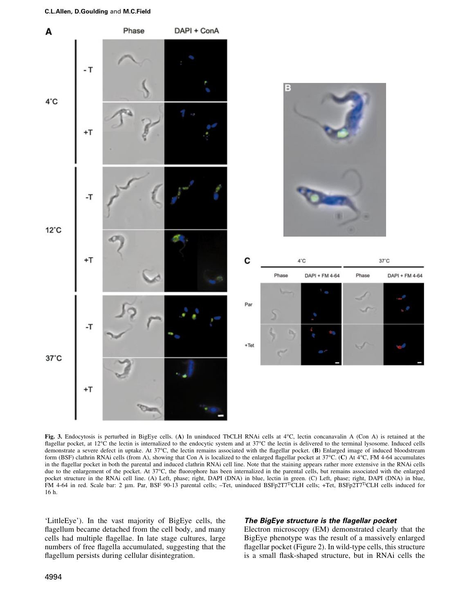

Fig. 3. Endocytosis is perturbed in BigEye cells. (A) In uninduced TbCLH RNAi cells at 4°C, lectin concanavalin A (Con A) is retained at the flagellar pocket, at 12°C the lectin is internalized to the endocytic system and at 37°C the lectin is delivered to the terminal lysosome. Induced cells demonstrate a severe defect in uptake. At  $37^{\circ}$ C, the lectin remains associated with the flagellar pocket. (B) Enlarged image of induced bloodstream form (BSF) clathrin RNAi cells (from A), showing that Con A is localized to the enlarged flagellar pocket at  $37^{\circ}$ C. (C) At  $4^{\circ}$ C, FM 4-64 accumulates in the flagellar pocket in both the parental and induced clathrin RNAi cell line. Note that the staining appears rather more extensive in the RNAi cells due to the enlargement of the pocket. At  $37^{\circ}$ C, the fluorophore has been internalized in the parental cells, but remains associated with the enlarged pocket structure in the RNAi cell line. (A) Left, phase; right, DAPI (DNA) in blue, lectin in green. (C) Left, phase; right, DAPI (DNA) in blue, FM 4-64 in red. Scale bar: 2 µm. Par, BSF 90-13 parental cells; -Tet, uninduced BSFp2T7<sup>Ti</sup>CLH cells; +Tet, BSFp2T7<sup>Ti</sup>CLH cells induced for 16 h.

`LittleEye'). In the vast majority of BigEye cells, the flagellum became detached from the cell body, and many cells had multiple flagellae. In late stage cultures, large numbers of free flagella accumulated, suggesting that the flagellum persists during cellular disintegration.

# The BigEye structure is the flagellar pocket

Electron microscopy (EM) demonstrated clearly that the BigEye phenotype was the result of a massively enlarged flagellar pocket (Figure 2). In wild-type cells, this structure is a small flask-shaped structure, but in RNAi cells the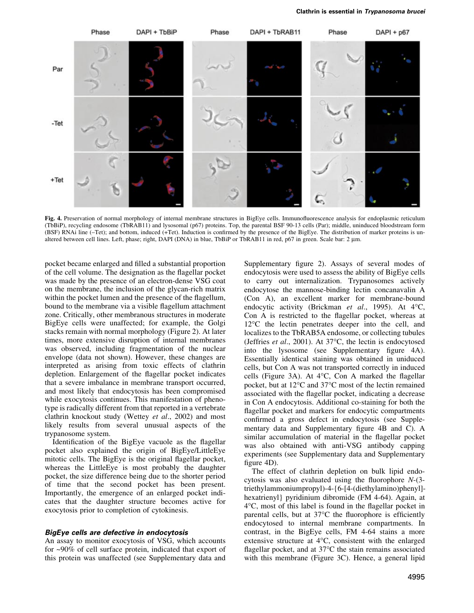

Fig. 4. Preservation of normal morphology of internal membrane structures in BigEye cells. Immunofluorescence analysis for endoplasmic reticulum (TbBiP), recycling endosome (TbRAB11) and lysosomal (p67) proteins. Top, the parental BSF 90-13 cells (Par); middle, uninduced bloodstream form (BSF) RNAi line (-Tet); and bottom, induced (+Tet). Induction is confirmed by the presence of the BigEye. The distribution of marker proteins is unaltered between cell lines. Left, phase; right, DAPI (DNA) in blue, TbBiP or TbRAB11 in red, p67 in green. Scale bar: 2 mm.

pocket became enlarged and filled a substantial proportion of the cell volume. The designation as the flagellar pocket was made by the presence of an electron-dense VSG coat on the membrane, the inclusion of the glycan-rich matrix within the pocket lumen and the presence of the flagellum, bound to the membrane via a visible flagellum attachment zone. Critically, other membranous structures in moderate BigEye cells were unaffected; for example, the Golgi stacks remain with normal morphology (Figure 2). At later times, more extensive disruption of internal membranes was observed, including fragmentation of the nuclear envelope (data not shown). However, these changes are interpreted as arising from toxic effects of clathrin depletion. Enlargement of the flagellar pocket indicates that a severe imbalance in membrane transport occurred, and most likely that endocytosis has been compromised while exocytosis continues. This manifestation of phenotype is radically different from that reported in a vertebrate clathrin knockout study (Wettey et al., 2002) and most likely results from several unusual aspects of the trypanosome system.

Identification of the BigEye vacuole as the flagellar pocket also explained the origin of BigEye/LittleEye mitotic cells. The BigEye is the original flagellar pocket, whereas the LittleEye is most probably the daughter pocket, the size difference being due to the shorter period of time that the second pocket has been present. Importantly, the emergence of an enlarged pocket indicates that the daughter structure becomes active for exocytosis prior to completion of cytokinesis.

### BigEye cells are defective in endocytosis

An assay to monitor exocytosis of VSG, which accounts for ~90% of cell surface protein, indicated that export of this protein was unaffected (see Supplementary data and

Supplementary figure 2). Assays of several modes of endocytosis were used to assess the ability of BigEye cells to carry out internalization. Trypanosomes actively endocytose the mannose-binding lectin concanavalin A (Con A), an excellent marker for membrane-bound endocytic activity (Brickman et al., 1995). At 4°C, Con A is restricted to the flagellar pocket, whereas at 12°C the lectin penetrates deeper into the cell, and localizes to the TbRAB5A endosome, or collecting tubules (Jeffries et al., 2001). At 37°C, the lectin is endocytosed into the lysosome (see Supplementary figure 4A). Essentially identical staining was obtained in uniduced cells, but Con A was not transported correctly in induced cells (Figure 3A). At  $4^{\circ}$ C, Con A marked the flagellar pocket, but at 12°C and 37°C most of the lectin remained associated with the flagellar pocket, indicating a decrease in Con A endocytosis. Additional co-staining for both the flagellar pocket and markers for endocytic compartments confirmed a gross defect in endocytosis (see Supplementary data and Supplementary figure  $4B$  and C). A similar accumulation of material in the flagellar pocket was also obtained with anti-VSG antibody capping experiments (see Supplementary data and Supplementary figure  $4D$ ).

The effect of clathrin depletion on bulk lipid endocytosis was also evaluated using the fluorophore  $N-(3-)$ triethylammoniumpropyl)-4-{6-[4-(diethylamino)phenyl] hexatrienyl} pyridinium dibromide (FM 4-64). Again, at  $4^{\circ}$ C, most of this label is found in the flagellar pocket in parental cells, but at  $37^{\circ}$ C the fluorophore is efficiently endocytosed to internal membrane compartments. In contrast, in the BigEye cells, FM 4-64 stains a more extensive structure at 4°C, consistent with the enlarged flagellar pocket, and at  $37^{\circ}$ C the stain remains associated with this membrane (Figure 3C). Hence, a general lipid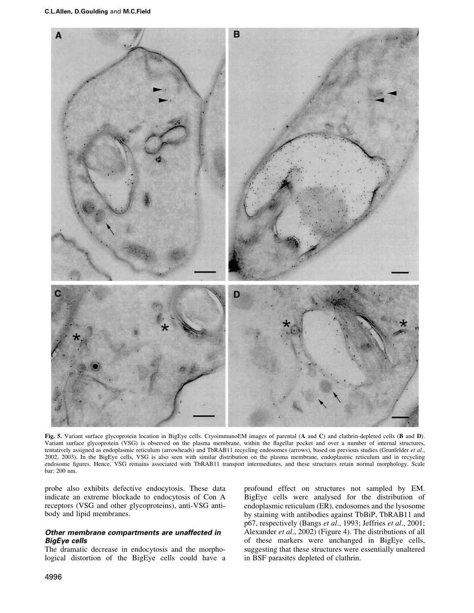

Fig. 5. Variant surface glycoprotein location in BigEye cells. CryoimmunoEM images of parental (A and C) and clathrin-depleted cells (B and D). Variant surface glycoprotein (VSG) is observed on the plasma membrane, within the flagellar pocket and over a number of internal structures, tentatively assigned as endoplasmic reticulum (arrowheads) and TbRAB11 recycling endosomes (arrows), based on previous studies (Grunfelder et al., 2002, 2003). In the BigEye cells, VSG is also seen with similar distribution on the plasma membrane, endoplasmic reticulum and in recycling endosome figures. Hence, VSG remains associated with TbRAB11 transport intermediates, and these structures retain normal morphology. Scale bar: 200 nm.

probe also exhibits defective endocytosis. These data indicate an extreme blockade to endocytosis of Con A receptors (VSG and other glycoproteins), anti-VSG antibody and lipid membranes.

# Other membrane compartments are unaffected in BigEye cells

The dramatic decrease in endocytosis and the morphological distortion of the BigEye cells could have a profound effect on structures not sampled by EM. BigEye cells were analysed for the distribution of endoplasmic reticulum (ER), endosomes and the lysosome by staining with antibodies against TbBiP, TbRAB11 and p67, respectively (Bangs et al., 1993; Jeffries et al., 2001; Alexander et al., 2002) (Figure 4). The distributions of all of these markers were unchanged in BigEye cells, suggesting that these structures were essentially unaltered in BSF parasites depleted of clathrin.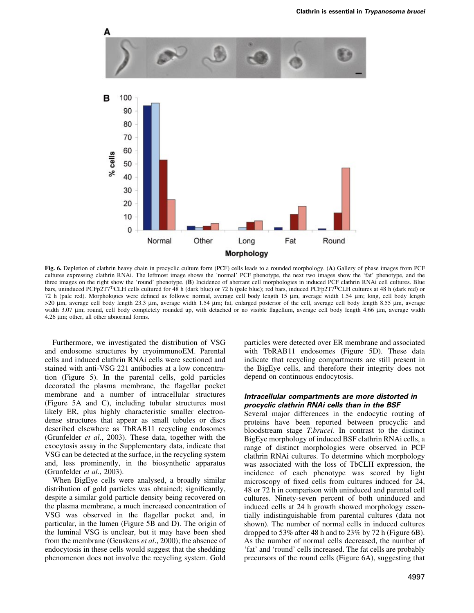

Fig. 6. Depletion of clathrin heavy chain in procyclic culture form (PCF) cells leads to a rounded morphology. (A) Gallery of phase images from PCF cultures expressing clathrin RNAi. The leftmost image shows the `normal' PCF phenotype, the next two images show the `fat' phenotype, and the three images on the right show the 'round' phenotype. (B) Incidence of aberrant cell morphologies in induced PCF clathrin RNAi cell cultures. Blue bars, uninduced PCFp2T7<sup>Ti</sup>CLH cells cultured for 48 h (dark blue) or 72 h (pale blue); red bars, induced PCFp2T7<sup>Ti</sup>CLH cultures at 48 h (dark red) or 72 h (pale red). Morphologies were defined as follows: normal, average cell body length 15  $\mu$ m, average width 1.54  $\mu$ m; long, cell body length >20 mm, average cell body length 23.3 mm, average width 1.54 mm; fat, enlarged posterior of the cell, average cell body length 8.55 mm, average width 3.07 µm; round, cell body completely rounded up, with detached or no visible flagellum, average cell body length 4.66 µm, average width  $4.26 \mu m$ ; other, all other abnormal forms.

Furthermore, we investigated the distribution of VSG and endosome structures by cryoimmunoEM. Parental cells and induced clathrin RNAi cells were sectioned and stained with anti-VSG 221 antibodies at a low concentration (Figure 5). In the parental cells, gold particles decorated the plasma membrane, the flagellar pocket membrane and a number of intracellular structures (Figure 5A and C), including tubular structures most likely ER, plus highly characteristic smaller electrondense structures that appear as small tubules or discs described elsewhere as TbRAB11 recycling endosomes (Grunfelder et al., 2003). These data, together with the exocytosis assay in the Supplementary data, indicate that VSG can be detected at the surface, in the recycling system and, less prominently, in the biosynthetic apparatus (Grunfelder et al., 2003).

When BigEye cells were analysed, a broadly similar distribution of gold particles was obtained; significantly, despite a similar gold particle density being recovered on the plasma membrane, a much increased concentration of VSG was observed in the flagellar pocket and, in particular, in the lumen (Figure 5B and D). The origin of the luminal VSG is unclear, but it may have been shed from the membrane (Geuskens et al., 2000); the absence of endocytosis in these cells would suggest that the shedding phenomenon does not involve the recycling system. Gold

particles were detected over ER membrane and associated with TbRAB11 endosomes (Figure 5D). These data indicate that recycling compartments are still present in the BigEye cells, and therefore their integrity does not depend on continuous endocytosis.

# Intracellular compartments are more distorted in procyclic clathrin RNAi cells than in the BSF

Several major differences in the endocytic routing of proteins have been reported between procyclic and bloodstream stage T.brucei. In contrast to the distinct BigEye morphology of induced BSF clathrin RNAi cells, a range of distinct morphologies were observed in PCF clathrin RNAi cultures. To determine which morphology was associated with the loss of TbCLH expression, the incidence of each phenotype was scored by light microscopy of fixed cells from cultures induced for 24, 48 or 72 h in comparison with uninduced and parental cell cultures. Ninety-seven percent of both uninduced and induced cells at 24 h growth showed morphology essentially indistinguishable from parental cultures (data not shown). The number of normal cells in induced cultures dropped to 53% after 48 h and to 23% by 72 h (Figure 6B). As the number of normal cells decreased, the number of `fat' and `round' cells increased. The fat cells are probably precursors of the round cells (Figure 6A), suggesting that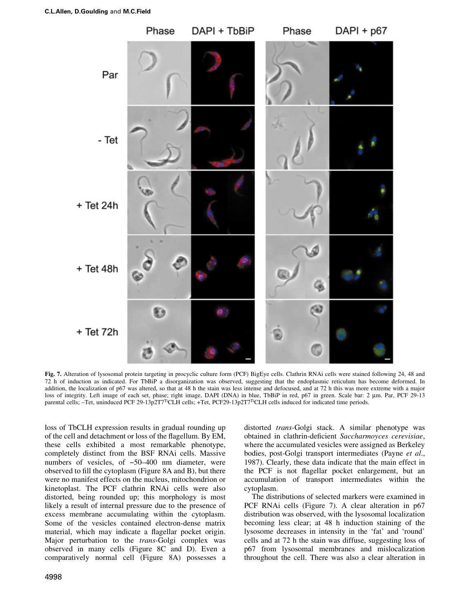

Fig. 7. Alteration of lysosomal protein targeting in procyclic culture form (PCF) BigEye cells. Clathrin RNAi cells were stained following 24, 48 and 72 h of induction as indicated. For TbBiP a disorganization was observed, suggesting that the endoplasmic reticulum has become deformed. In addition, the localization of p67 was altered, so that at 48 h the stain was less intense and defocused, and at 72 h this was more extreme with a major loss of integrity. Left image of each set, phase; right image, DAPI (DNA) in blue, TbBiP in red, p67 in green. Scale bar: 2 µm. Par, PCF 29-13 parental cells; -Tet, uninduced PCF 29-13p2T7<sup>Ti</sup>CLH cells; +Tet, PCF29-13p2T7<sup>Ti</sup>CLH cells induced for indicated time periods.

loss of TbCLH expression results in gradual rounding up of the cell and detachment or loss of the flagellum. By EM, these cells exhibited a most remarkable phenotype, completely distinct from the BSF RNAi cells. Massive numbers of vesicles, of  $~50-400$  nm diameter, were observed to fill the cytoplasm (Figure  $8A$  and B), but there were no manifest effects on the nucleus, mitochondrion or kinetoplast. The PCF clathrin RNAi cells were also distorted, being rounded up; this morphology is most likely a result of internal pressure due to the presence of excess membrane accumulating within the cytoplasm. Some of the vesicles contained electron-dense matrix material, which may indicate a flagellar pocket origin. Major perturbation to the trans-Golgi complex was observed in many cells (Figure 8C and D). Even a comparatively normal cell (Figure 8A) possesses a

4998

distorted trans-Golgi stack. A similar phenotype was obtained in clathrin-deficient Saccharmoyces cerevisiae, where the accumulated vesicles were assigned as Berkeley bodies, post-Golgi transport intermediates (Payne et al., 1987). Clearly, these data indicate that the main effect in the PCF is not flagellar pocket enlargement, but an accumulation of transport intermediates within the cytoplasm.

The distributions of selected markers were examined in PCF RNAi cells (Figure 7). A clear alteration in p67 distribution was observed, with the lysosomal localization becoming less clear; at 48 h induction staining of the lysosome decreases in intensity in the `fat' and `round' cells and at 72 h the stain was diffuse, suggesting loss of p67 from lysosomal membranes and mislocalization throughout the cell. There was also a clear alteration in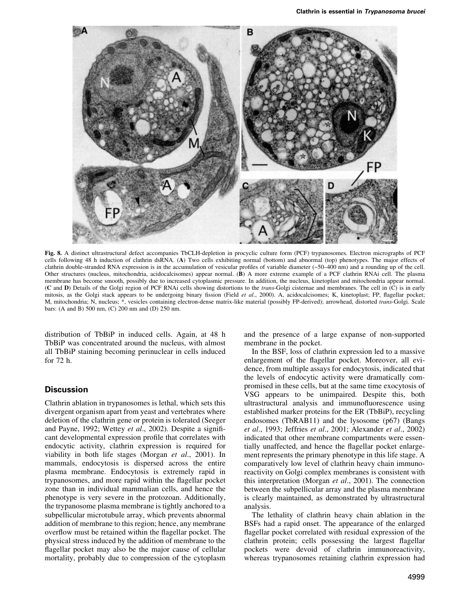

Fig. 8. A distinct ultrastructural defect accompanies TbCLH-depletion in procyclic culture form (PCF) trypanosomes. Electron micrographs of PCF cells following 48 h induction of clathrin dsRNA. (A) Two cells exhibiting normal (bottom) and abnormal (top) phenotypes. The major effects of clathrin double-stranded RNA expression is in the accumulation of vesicular profiles of variable diameter  $(-50-400 \text{ nm})$  and a rounding up of the cell. Other structures (nucleus, mitochondria, acidocalcisomes) appear normal. (B) A more extreme example of a PCF clathrin RNAi cell. The plasma membrane has become smooth, possibly due to increased cytoplasmic pressure. In addition, the nucleus, kinetoplast and mitochondria appear normal. (C and D) Details of the Golgi region of PCF RNAi cells showing distortions to the trans-Golgi cisternae and membranes. The cell in (C) is in early mitosis, as the Golgi stack appears to be undergoing binary fission (Field et al., 2000). A, acidocalcisomes; K, kinetoplast; FP, flagellar pocket; M, mitochondria; N, nucleus; \*, vesicles containing electron-dense matrix-like material (possibly FP-derived); arrowhead, distorted trans-Golgi. Scale bars: (A and B) 500 nm, (C) 200 nm and (D) 250 nm.

distribution of TbBiP in induced cells. Again, at 48 h TbBiP was concentrated around the nucleus, with almost all TbBiP staining becoming perinuclear in cells induced for 72 h.

# **Discussion**

Clathrin ablation in trypanosomes is lethal, which sets this divergent organism apart from yeast and vertebrates where deletion of the clathrin gene or protein is tolerated (Seeger and Payne, 1992; Wettey et al., 2002). Despite a significant developmental expression profile that correlates with endocytic activity, clathrin expression is required for viability in both life stages (Morgan et al., 2001). In mammals, endocytosis is dispersed across the entire plasma membrane. Endocytosis is extremely rapid in trypanosomes, and more rapid within the flagellar pocket zone than in individual mammalian cells, and hence the phenotype is very severe in the protozoan. Additionally, the trypanosome plasma membrane is tightly anchored to a subpellicular microtubule array, which prevents abnormal addition of membrane to this region; hence, any membrane overflow must be retained within the flagellar pocket. The physical stress induced by the addition of membrane to the flagellar pocket may also be the major cause of cellular mortality, probably due to compression of the cytoplasm

and the presence of a large expanse of non-supported membrane in the pocket.

In the BSF, loss of clathrin expression led to a massive enlargement of the flagellar pocket. Moreover, all evidence, from multiple assays for endocytosis, indicated that the levels of endocytic activity were dramatically compromised in these cells, but at the same time exocytosis of VSG appears to be unimpaired. Despite this, both ultrastructural analysis and immunofluorescence using established marker proteins for the ER (TbBiP), recycling endosomes (TbRAB11) and the lysosome (p67) (Bangs et al., 1993; Jeffries et al., 2001; Alexander et al., 2002) indicated that other membrane compartments were essentially unaffected, and hence the flagellar pocket enlargement represents the primary phenotype in this life stage. A comparatively low level of clathrin heavy chain immunoreactivity on Golgi complex membranes is consistent with this interpretation (Morgan et al., 2001). The connection between the subpellicular array and the plasma membrane is clearly maintained, as demonstrated by ultrastructural analysis.

The lethality of clathrin heavy chain ablation in the BSFs had a rapid onset. The appearance of the enlarged flagellar pocket correlated with residual expression of the clathrin protein; cells possessing the largest flagellar pockets were devoid of clathrin immunoreactivity, whereas trypanosomes retaining clathrin expression had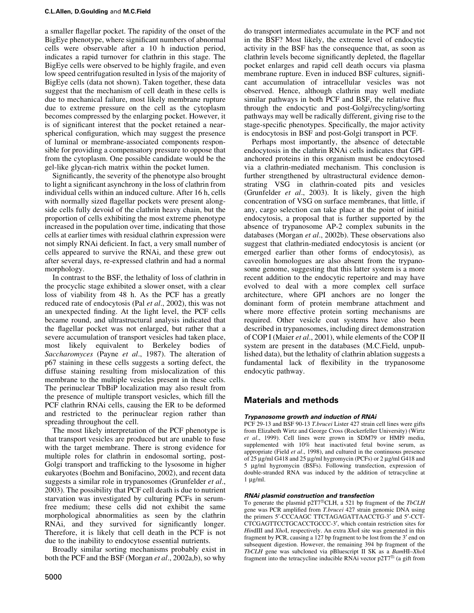a smaller flagellar pocket. The rapidity of the onset of the BigEye phenotype, where significant numbers of abnormal cells were observable after a 10 h induction period, indicates a rapid turnover for clathrin in this stage. The BigEye cells were observed to be highly fragile, and even low speed centrifugation resulted in lysis of the majority of BigEye cells (data not shown). Taken together, these data suggest that the mechanism of cell death in these cells is due to mechanical failure, most likely membrane rupture due to extreme pressure on the cell as the cytoplasm becomes compressed by the enlarging pocket. However, it is of significant interest that the pocket retained a nearspherical configuration, which may suggest the presence of luminal or membrane-associated components responsible for providing a compensatory pressure to oppose that from the cytoplasm. One possible candidate would be the gel-like glycan-rich matrix within the pocket lumen.

Significantly, the severity of the phenotype also brought to light a significant asynchrony in the loss of clathrin from individual cells within an induced culture. After 16 h, cells with normally sized flagellar pockets were present alongside cells fully devoid of the clathrin heavy chain, but the proportion of cells exhibiting the most extreme phenotype increased in the population over time, indicating that those cells at earlier times with residual clathrin expression were not simply RNAi deficient. In fact, a very small number of cells appeared to survive the RNAi, and these grew out after several days, re-expressed clathrin and had a normal morphology.

In contrast to the BSF, the lethality of loss of clathrin in the procyclic stage exhibited a slower onset, with a clear loss of viability from 48 h. As the PCF has a greatly reduced rate of endocytosis (Pal et al., 2002), this was not an unexpected finding. At the light level, the PCF cells became round, and ultrastructural analysis indicated that the flagellar pocket was not enlarged, but rather that a severe accumulation of transport vesicles had taken place, most likely equivalent to Berkeley bodies of Saccharomyces (Payne et al., 1987). The alteration of p67 staining in these cells suggests a sorting defect, the diffuse staining resulting from mislocalization of this membrane to the multiple vesicles present in these cells. The perinuclear TbBiP localization may also result from the presence of multiple transport vesicles, which fill the PCF clathrin RNAi cells, causing the ER to be deformed and restricted to the perinuclear region rather than spreading throughout the cell.

The most likely interpretation of the PCF phenotype is that transport vesicles are produced but are unable to fuse with the target membrane. There is strong evidence for multiple roles for clathrin in endosomal sorting, post-Golgi transport and trafficking to the lysosome in higher eukaryotes (Boehm and Bonifacino, 2002), and recent data suggests a similar role in trypanosomes (Grunfelder et al., 2003). The possibility that PCF cell death is due to nutrient starvation was investigated by culturing PCFs in serumfree medium; these cells did not exhibit the same morphological abnormalities as seen by the clathrin RNAi, and they survived for significantly longer. Therefore, it is likely that cell death in the PCF is not due to the inability to endocytose essential nutrients.

Broadly similar sorting mechanisms probably exist in both the PCF and the BSF (Morgan et al., 2002a,b), so why

do transport intermediates accumulate in the PCF and not in the BSF? Most likely, the extreme level of endocytic activity in the BSF has the consequence that, as soon as clathrin levels become significantly depleted, the flagellar pocket enlarges and rapid cell death occurs via plasma membrane rupture. Even in induced BSF cultures, significant accumulation of intracellular vesicles was not observed. Hence, although clathrin may well mediate similar pathways in both PCF and BSF, the relative flux through the endocytic and post-Golgi/recycling/sorting pathways may well be radically different, giving rise to the stage-specific phenotypes. Specifically, the major activity is endocytosis in BSF and post-Golgi transport in PCF.

Perhaps most importantly, the absence of detectable endocytosis in the clathrin RNAi cells indicates that GPIanchored proteins in this organism must be endocytosed via a clathrin-mediated mechanism. This conclusion is further strengthened by ultrastructural evidence demonstrating VSG in clathrin-coated pits and vesicles (Grunfelder et al., 2003). It is likely, given the high concentration of VSG on surface membranes, that little, if any, cargo selection can take place at the point of initial endocytosis, a proposal that is further supported by the absence of trypanosome AP-2 complex subunits in the databases (Morgan et al., 2002b). These observations also suggest that clathrin-mediated endocytosis is ancient (or emerged earlier than other forms of endocytosis), as caveolin homologues are also absent from the trypanosome genome, suggesting that this latter system is a more recent addition to the endocytic repertoire and may have evolved to deal with a more complex cell surface architecture, where GPI anchors are no longer the dominant form of protein membrane attachment and where more effective protein sorting mechanisms are required. Other vesicle coat systems have also been described in trypanosomes, including direct demonstration of COP I (Maier et al., 2001), while elements of the COP II system are present in the databases (M.C.Field, unpublished data), but the lethality of clathrin ablation suggests a fundamental lack of flexibility in the trypanosome endocytic pathway.

# Materials and methods

# Trypanosome growth and induction of RNAi

PCF 29-13 and BSF 90-13 T.brucei Lister 427 strain cell lines were gifts from Elizabeth Wirtz and George Cross (Rockerfeller University) (Wirtz et al., 1999). Cell lines were grown in SDM79 or HMI9 media, supplemented with 10% heat inactivated fetal bovine serum, as appropriate (Field et al., 1998), and cultured in the continuous presence of 25 µg/ml G418 and 25 µg/ml hygromycin (PCFs) or 2 µg/ml G418 and 5 mg/ml hygromycin (BSFs). Following transfection, expression of double-stranded RNA was induced by the addition of tetracycline at  $1 \mu g/ml$ .

### RNAi plasmid construction and transfection

To generate the plasmid p2T7<sup>Ti</sup>CLH, a 521 bp fragment of the *TbCLH* gene was PCR amplified from T.brucei 427 strain genomic DNA using the primers 5'-CCCAAGC TTCTAGAGATTAACCTG-3' and 5'-CCT-CTCGAGTTCCTGCACCTGCCC-3¢, which contain restriction sites for HindIII and XhoI, respectively. An extra XhoI site was generated in this fragment by PCR, causing a 127 bp fragment to be lost from the 3' end on subsequent digestion. However, the remaining 394 bp fragment of the TbCLH gene was subcloned via pBluescript II SK as a BamHI-XhoI fragment into the tetracycline inducible RNAi vector p $2T7^{Ti}$  (a gift from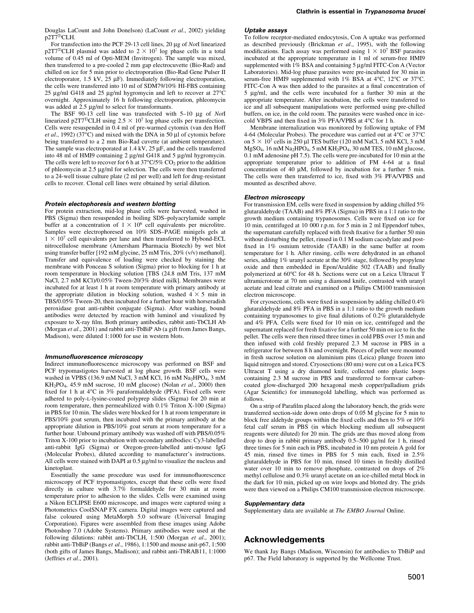Douglas LaCount and John Donelson) (LaCount et al., 2002) yielding p2T7TiCLH.

For transfection into the PCF 29-13 cell lines, 20  $\mu$ g of NotI linearized p2T7<sup>Ti</sup>CLH plasmid was added to  $2 \times 10^7$  log phase cells in a total volume of 0.45 ml of Opti-MEM (Invitrogen). The sample was mixed, then transferred to a pre-cooled 2 mm gap electrocuvette (Bio-Rad) and chilled on ice for 5 min prior to electroporation (Bio-Rad Gene Pulser II electroporator, 1.5 kV,  $25 \mu$ F). Immediately following electroporation, the cells were transferred into 10 ml of SDM79/10% HI-FBS containing 25  $\mu$ g/ml G418 and 25  $\mu$ g/ml hygromycin and left to recover at 27°C overnight. Approximately 16 h following electroporation, phleomycin was added at  $2.5 \text{ µg/ml}$  to select for transformants.

The BSF 90-13 cell line was transfected with  $5-10 \mu g$  of NotI linearized p2T7<sup>Ti</sup>CLH using  $2.5 \times 10^7$  log phase cells per transfection. Cells were resuspended in 0.4 ml of pre-warmed cytomix (van den Hoff *et al.*, 1992) (37 $\degree$ C) and mixed with the DNA in 50 µl of cytomix before being transferred to a 2 mm Bio-Rad cuvette (at ambient temperature). The sample was electroporated at  $1.4 \text{ kV}$ ,  $25 \mu$ F, and the cells transferred into 48 ml of HMI9 containing 2  $\mu$ g/ml G418 and 5  $\mu$ g/ml hygromycin. The cells were left to recover for 6 h at  $37^{\circ}C/5\%$  CO<sub>2</sub> prior to the addition of phleomycin at 2.5 µg/ml for selection. The cells were then transferred to a 24-well tissue culture plate (2 ml per well) and left for drug-resistant cells to recover. Clonal cell lines were obtained by serial dilution.

#### Protein electophoresis and western blotting

For protein extraction, mid-log phase cells were harvested, washed in PBS (Sigma) then resuspended in boiling SDS-polyacrylamide sample buffer at a concentration of  $1 \times 10^6$  cell equivalents per microlitre. Samples were electrophoresed on 10% SDS-PAGE minigels gels at  $1 \times 10^{7}$  cell equivalents per lane and then transferred to Hybond-ECL nitrocellulose membrane (Amersham Pharmacia Biotech) by wet blot using transfer buffer [192 mM glycine, 25 mM Tris, 20% (v/v) methanol]. Transfer and equivalence of loading were checked by staining the membrane with Ponceau S solution (Sigma) prior to blocking for 1 h at room temperature in blocking solution [TBS (24.8 mM Tris, 137 mM NaCl, 2.7 mM KCl)/0.05% Tween-20/3% dried milk]. Membranes were incubated for at least 1 h at room temperature with primary antibody at the appropriate dilution in blocking solution, washed  $4 \times 5$  min in TBS/0.05% Tween-20, then incubated for a further hour with horseradish peroxidase goat anti-rabbit conjugate (Sigma). After washing, bound antibodies were detected by reaction with luminol and visualized by exposure to X-ray film. Both primary antibodies, rabbit anti-TbCLH Ab (Morgan et al., 2001) and rabbit anti-TbBiP Ab (a gift from James Bangs, Madison), were diluted 1:1000 for use in western blots.

#### Immunofluorescence microscopy

Indirect immunofluorescence microscopy was performed on BSF and PCF trypomastigotes harvested at log phase growth. BSF cells were washed in VPBS (136.9 mM NaCl, 3 mM KCl, 16 mM Na<sub>2</sub>HPO<sub>4</sub>, 3 mM  $KH_2PO_4$ , 45.9 mM sucrose, 10 mM glucose) (Nolan et al., 2000) then fixed for 1 h at 4°C in 3% paraformaldehyde (PFA). Fixed cells were adhered to poly-L-lysine-coated polyprep slides (Sigma) for 20 min at room temperature, then permeabilized with 0.1% Triton X-100 (Sigma) in PBS for 10 min. The slides were blocked for 1 h at room temperature in PBS/10% goat serum, then incubated with the primary antibody at the appropriate dilution in PBS/10% goat serum at room temperature for a further hour. Unbound primary antibody was washed off with PBS/0.05% Triton X-100 prior to incubation with secondary antibodies: Cy3-labelled anti-rabbit IgG (Sigma) or Oregon-green-labelled anti-mouse IgG (Molecular Probes), diluted according to manufacturer's instructions. All cells were stained with DAPI at  $0.5 \mu g/ml$  to visualize the nucleus and kinetoplast.

Essentially the same procedure was used for immunofluorescence microscopy of PCF trypomastigotes, except that these cells were fixed directly in culture with 3.7% formaldehyde for 30 min at room temperature prior to adhesion to the slides. Cells were examined using a Nikon ECLIPSE E600 microscope, and images were captured using a Photometrics CoolSNAP FX camera. Digital images were captured and false coloured using MetaMorph 5.0 software (Universal Imaging Corporation). Figures were assembled from these images using Adobe Photoshop 7.0 (Adobe Systems). Primary antibodies were used at the following dilutions: rabbit anti-TbCLH, 1:500 (Morgan et al., 2001); rabbit anti-TbBiP (Bangs et al., 1986), 1:1500 and mouse anit-p67, 1:500 (both gifts of James Bangs, Madison); and rabbit anti-TbRAB11, 1:1000 (Jeffries et al., 2001).

#### Uptake assays

To follow receptor-mediated endocytosis, Con A uptake was performed as described previously (Brickman et al., 1995), with the following modifications. Each assay was performed using  $1 \times 10^7$  BSF parasites incubated at the appropriate temperature in 1 ml of serum-free HMI9 supplemented with  $1\%$  BSA and containing 5  $\mu$ g/ml FITC-Con A (Vector Laboratories). Mid-log phase parasites were pre-incubated for 30 min in serum-free HMI9 supplemented with 1% BSA at 4°C, 12°C or 37°C. FITC-Con A was then added to the parasites at a final concentration of 5 µg/ml, and the cells were incubated for a further 30 min at the appropriate temperature. After incubation, the cells were transferred to ice and all subsequent manipulations were performed using pre-chilled buffers, on ice, in the cold room. The parasites were washed once in icecold VBPS and then fixed in  $3\%$  PFA/VPBS at  $4^{\circ}$ C for 1 h.

Membrane internalization was monitored by following uptake of FM 4-64 (Molecular Probes). The procedure was carried out at 4°C or 37°C on  $5 \times 10^7$  cells in 250 ul TES buffer (120 mM NaCl, 5 mM KCl, 3 mM MgSO<sub>4</sub>, 16 mM Na<sub>2</sub>HPO<sub>4</sub>, 5 mM KH<sub>2</sub>PO<sub>4</sub>, 30 mM TES, 10 mM glucose, 0.1 mM adenosine pH 7.5). The cells were pre-incubated for 10 min at the appropriate temperature prior to addition of FM 4-64 at a final concentration of 40  $\mu$ M, followed by incubation for a further 5 min. The cells were then transferred to ice, fixed with 3% PFA/VPBS and mounted as described above.

### Electron microscopy

For transmission EM, cells were fixed in suspension by adding chilled  $5%$ glutaraldehyde (TAAB) and 8% PFA (Sigma) in PBS in a 1:1 ratio to the growth medium containing trypanosomes. Cells were fixed on ice for 10 min, centrifuged at 10 000 r.p.m. for 5 min in 2 ml Eppendorf tubes, the supernatant carefully replaced with fresh fixative for a further 50 min without disturbing the pellet, rinsed in 0.1 M sodium cacodylate and postfixed in 1% osmium tetroxide (TAAB) in the same buffer at room temperature for 1 h. After rinsing, cells were dehydrated in an ethanol series, adding 1% uranyl acetate at the 30% stage, followed by propylene oxide and then embedded in Epon/Araldite 502 (TAAB) and finally polymerized at 60°C for 48 h. Sections were cut on a Leica Ultracut T ultramicrotome at 70 nm using a diamond knife, contrasted with uranyl acetate and lead citrate and examined on a Philips CM100 transmission electron microscope.

For cryosections, cells were fixed in suspension by adding chilled 0.4% glutaraldehyde and 8% PFA in PBS in a 1:1 ratio to the growth medium containing trypanosomes to give final dilutions of  $0.2\%$  glutaraldehyde and 4% PFA. Cells were fixed for 10 min on ice, centrifuged and the supernatant replaced for fresh fixative for a further 50 min on ice to fix the pellet. The cells were then rinsed three times in cold PBS over 15 min and then infused with cold freshly prepared 2.3 M sucrose in PBS in a refrigerator for between 8 h and overnight. Pieces of pellet were mounted in fresh sucrose solution on aluminium pins (Leica) plunge frozen into liquid nitrogen and stored. Cryosections (80 nm) were cut on a Leica FCS Ultracut T using a dry diamond knife, collected onto plastic loops containing 2.3 M sucrose in PBS and transferred to formvar carboncoated glow-discharged 200 hexagonal mesh copper/palladium grids (Agar Scientific) for immunogold labelling, which was performed as follows.

On a strip of Parafilm placed along the laboratory bench, the grids were transferred section-side down onto drops of 0.05 M glycine for 5 min to block free aldehyde groups within the fixed cells and then to  $5\%$  or  $10\%$ fetal calf serum in PBS (in which blocking medium all subsequent reagents were diluted) for 20 min. The grids are thus moved along from drop to drop in rabbit primary antibody  $0.5-500 \mu g/ml$  for 1 h, rinsed three times for 5 min each in PBS, incubated in 10 nm protein A gold for 45 min, rinsed five times in PBS for 5 min each, fixed in 2.5% glutaraldehyde in PBS for 10 min, rinsed 10 times in freshly distilled water over 10 min to remove phosphate, contrasted on drops of 2% methyl cellulose and 0.3% uranyl acetate on an ice-chilled metal block in the dark for 10 min, picked up on wire loops and blotted dry. The grids were then viewed on a Philips CM100 transmission electron microscope.

#### Supplementary data

Supplementary data are available at The EMBO Journal Online.

### Acknowledgements

We thank Jay Bangs (Madison, Wisconsin) for antibodies to TbBiP and p67. The Field laboratory is supported by the Wellcome Trust.